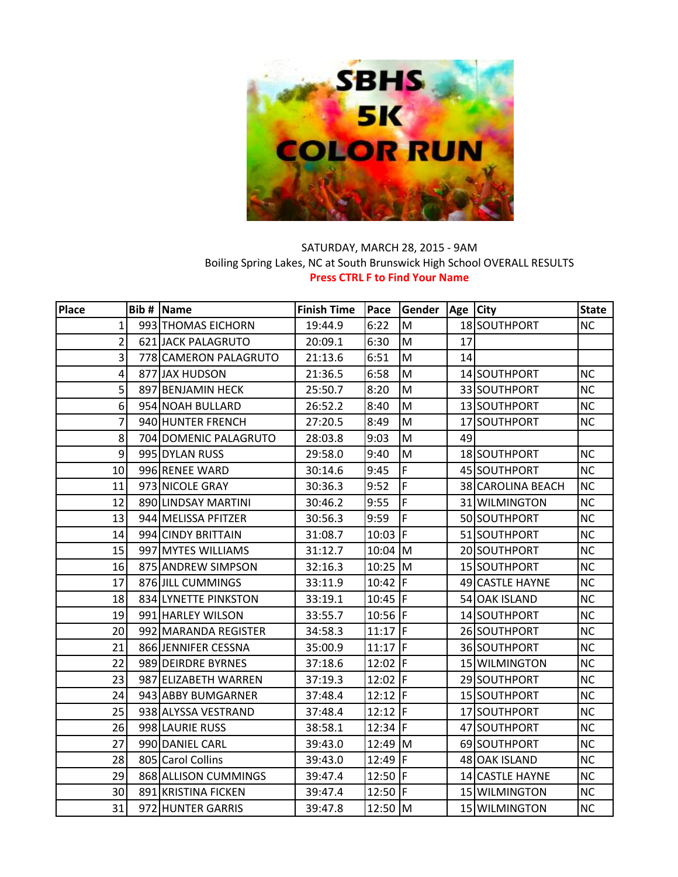

## SATURDAY, MARCH 28, 2015 - 9AM Boiling Spring Lakes, NC at South Brunswick High School OVERALL RESULTS **Press CTRL F to Find Your Name**

| Place          | <b>Bib # Name</b>     | <b>Finish Time</b> | Pace        | Gender | Age City |                   | <b>State</b> |
|----------------|-----------------------|--------------------|-------------|--------|----------|-------------------|--------------|
| 1              | 993 THOMAS EICHORN    | 19:44.9            | 6:22        | M      |          | 18 SOUTHPORT      | <b>NC</b>    |
| $\overline{2}$ | 621 JACK PALAGRUTO    | 20:09.1            | 6:30        | M      | 17       |                   |              |
| $\overline{3}$ | 778 CAMERON PALAGRUTO | 21:13.6            | 6:51        | M      | 14       |                   |              |
| 4              | 877 JAX HUDSON        | 21:36.5            | 6:58        | M      |          | 14 SOUTHPORT      | <b>NC</b>    |
| 5 <sup>1</sup> | 897 BENJAMIN HECK     | 25:50.7            | 8:20        | M      |          | 33 SOUTHPORT      | <b>NC</b>    |
| 6              | 954 NOAH BULLARD      | 26:52.2            | 8:40        | M      |          | 13 SOUTHPORT      | <b>NC</b>    |
| 7              | 940 HUNTER FRENCH     | 27:20.5            | 8:49        | M      |          | 17 SOUTHPORT      | <b>NC</b>    |
| 8              | 704 DOMENIC PALAGRUTO | 28:03.8            | 9:03        | M      | 49       |                   |              |
| 9              | 995 DYLAN RUSS        | 29:58.0            | 9:40        | M      |          | 18 SOUTHPORT      | <b>NC</b>    |
| 10             | 996 RENEE WARD        | 30:14.6            | 9:45        | F      |          | 45 SOUTHPORT      | <b>NC</b>    |
| 11             | 973 NICOLE GRAY       | 30:36.3            | 9:52        | F      |          | 38 CAROLINA BEACH | <b>NC</b>    |
| 12             | 890 LINDSAY MARTINI   | 30:46.2            | 9:55        | F      |          | 31 WILMINGTON     | <b>NC</b>    |
| 13             | 944 MELISSA PFITZER   | 30:56.3            | 9:59        | F      |          | 50 SOUTHPORT      | NC           |
| 14             | 994 CINDY BRITTAIN    | 31:08.7            | $10:03$ F   |        |          | 51 SOUTHPORT      | <b>NC</b>    |
| 15             | 997 MYTES WILLIAMS    | 31:12.7            | $10:04$ M   |        |          | 20 SOUTHPORT      | <b>NC</b>    |
| 16             | 875 ANDREW SIMPSON    | 32:16.3            | $10:25$ M   |        |          | 15 SOUTHPORT      | <b>NC</b>    |
| 17             | 876 JILL CUMMINGS     | 33:11.9            | 10:42  F    |        |          | 49 CASTLE HAYNE   | <b>NC</b>    |
| 18             | 834 LYNETTE PINKSTON  | 33:19.1            | $10:45$ F   |        |          | 54 OAK ISLAND     | <b>NC</b>    |
| 19             | 991 HARLEY WILSON     | 33:55.7            | 10:56 $F$   |        |          | 14 SOUTHPORT      | NC           |
| 20             | 992 MARANDA REGISTER  | 34:58.3            | 11:17 $ F $ |        |          | 26 SOUTHPORT      | <b>NC</b>    |
| 21             | 866 JENNIFER CESSNA   | 35:00.9            | $11:17$ F   |        |          | 36 SOUTHPORT      | <b>NC</b>    |
| 22             | 989 DEIRDRE BYRNES    | 37:18.6            | 12:02 F     |        |          | 15 WILMINGTON     | <b>NC</b>    |
| 23             | 987 ELIZABETH WARREN  | 37:19.3            | 12:02   F   |        |          | 29 SOUTHPORT      | <b>NC</b>    |
| 24             | 943 ABBY BUMGARNER    | 37:48.4            | $12:12$ F   |        |          | 15 SOUTHPORT      | <b>NC</b>    |
| 25             | 938 ALYSSA VESTRAND   | 37:48.4            | $12:12$ F   |        |          | 17 SOUTHPORT      | <b>NC</b>    |
| 26             | 998 LAURIE RUSS       | 38:58.1            | 12:34 F     |        |          | 47 SOUTHPORT      | <b>NC</b>    |
| 27             | 990 DANIEL CARL       | 39:43.0            | 12:49 M     |        |          | 69 SOUTHPORT      | <b>NC</b>    |
| 28             | 805 Carol Collins     | 39:43.0            | 12:49   $F$ |        |          | 48 OAK ISLAND     | <b>NC</b>    |
| 29             | 868 ALLISON CUMMINGS  | 39:47.4            | 12:50 $ F $ |        |          | 14 CASTLE HAYNE   | NC           |
| 30             | 891 KRISTINA FICKEN   | 39:47.4            | 12:50 $ F $ |        |          | 15 WILMINGTON     | <b>NC</b>    |
| 31             | 972 HUNTER GARRIS     | 39:47.8            | 12:50 M     |        |          | 15 WILMINGTON     | <b>NC</b>    |